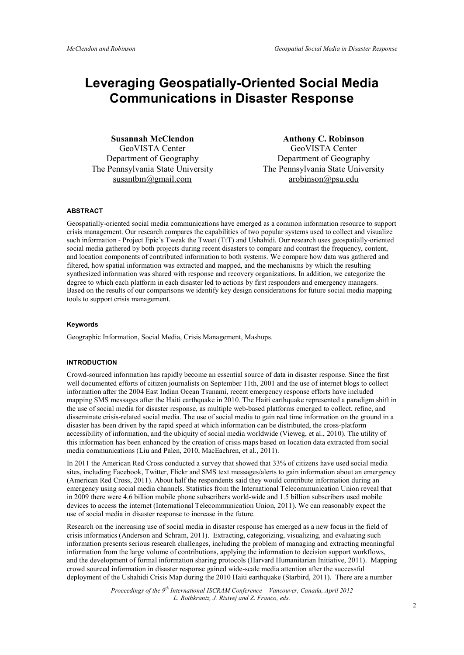# **Leveraging Geospatially-Oriented Social Media Communications in Disaster Response**

**Susannah McClendon**  GeoVISTA Center Department of Geography The Pennsylvania State University [susantbm@gmail.com](mailto:susantbm@gmail.com)

**Anthony C. Robinson**  GeoVISTA Center

Department of Geography The Pennsylvania State University [arobinson@psu.edu](mailto:arobinson@psu.edu)

## **ABSTRACT**

Geospatially-oriented social media communications have emerged as a common information resource to support crisis management. Our research compares the capabilities of two popular systems used to collect and visualize such information - Project Epic's Tweak the Tweet (TtT) and Ushahidi. Our research uses geospatially-oriented social media gathered by both projects during recent disasters to compare and contrast the frequency, content, and location components of contributed information to both systems. We compare how data was gathered and filtered, how spatial information was extracted and mapped, and the mechanisms by which the resulting synthesized information was shared with response and recovery organizations. In addition, we categorize the degree to which each platform in each disaster led to actions by first responders and emergency managers. Based on the results of our comparisons we identify key design considerations for future social media mapping tools to support crisis management.

### **Keywords**

Geographic Information, Social Media, Crisis Management, Mashups.

#### **INTRODUCTION**

Crowd-sourced information has rapidly become an essential source of data in disaster response. Since the first well documented efforts of citizen journalists on September 11th, 2001 and the use of internet blogs to collect information after the 2004 East Indian Ocean Tsunami, recent emergency response efforts have included mapping SMS messages after the Haiti earthquake in 2010. The Haiti earthquake represented a paradigm shift in the use of social media for disaster response, as multiple web-based platforms emerged to collect, refine, and disseminate crisis-related social media. The use of social media to gain real time information on the ground in a disaster has been driven by the rapid speed at which information can be distributed, the cross-platform accessibility of information, and the ubiquity of social media worldwide (Vieweg, et al., 2010). The utility of this information has been enhanced by the creation of crisis maps based on location data extracted from social media communications (Liu and Palen, 2010, MacEachren, et al., 2011).

In 2011 the American Red Cross conducted a survey that showed that 33% of citizens have used social media sites, including Facebook, Twitter, Flickr and SMS text messages/alerts to gain information about an emergency (American Red Cross, 2011). About half the respondents said they would contribute information during an emergency using social media channels. Statistics from the International Telecommunication Union reveal that in 2009 there were 4.6 billion mobile phone subscribers world-wide and 1.5 billion subscribers used mobile devices to access the internet (International Telecommunication Union, 2011). We can reasonably expect the use of social media in disaster response to increase in the future.

Research on the increasing use of social media in disaster response has emerged as a new focus in the field of crisis informatics (Anderson and Schram, 2011). Extracting, categorizing, visualizing, and evaluating such information presents serious research challenges, including the problem of managing and extracting meaningful information from the large volume of contributions, applying the information to decision support workflows, and the development of formal information sharing protocols (Harvard Humanitarian Initiative, 2011). Mapping crowd sourced information in disaster response gained wide-scale media attention after the successful deployment of the Ushahidi Crisis Map during the 2010 Haiti earthquake (Starbird, 2011). There are a number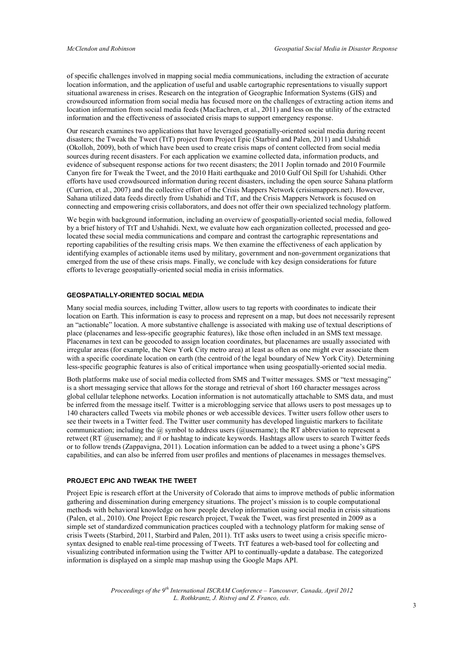of specific challenges involved in mapping social media communications, including the extraction of accurate location information, and the application of useful and usable cartographic representations to visually support situational awareness in crises. Research on the integration of Geographic Information Systems (GIS) and crowdsourced information from social media has focused more on the challenges of extracting action items and location information from social media feeds (MacEachren, et al., 2011) and less on the utility of the extracted information and the effectiveness of associated crisis maps to support emergency response.

Our research examines two applications that have leveraged geospatially-oriented social media during recent disasters; the Tweak the Tweet (TtT) project from Project Epic (Starbird and Palen, 2011) and Ushahidi (Okolloh, 2009), both of which have been used to create crisis maps of content collected from social media sources during recent disasters. For each application we examine collected data, information products, and evidence of subsequent response actions for two recent disasters; the 2011 Joplin tornado and 2010 Fourmile Canyon fire for Tweak the Tweet, and the 2010 Haiti earthquake and 2010 Gulf Oil Spill for Ushahidi. Other efforts have used crowdsourced information during recent disasters, including the open source Sahana platform (Currion, et al., 2007) and the collective effort of the Crisis Mappers Network (crisismappers.net). However, Sahana utilized data feeds directly from Ushahidi and TtT, and the Crisis Mappers Network is focused on connecting and empowering crisis collaborators, and does not offer their own specialized technology platform.

We begin with background information, including an overview of geospatially-oriented social media, followed by a brief history of TtT and Ushahidi. Next, we evaluate how each organization collected, processed and geolocated these social media communications and compare and contrast the cartographic representations and reporting capabilities of the resulting crisis maps. We then examine the effectiveness of each application by identifying examples of actionable items used by military, government and non-government organizations that emerged from the use of these crisis maps. Finally, we conclude with key design considerations for future efforts to leverage geospatially-oriented social media in crisis informatics.

### **GEOSPATIALLY-ORIENTED SOCIAL MEDIA**

Many social media sources, including Twitter, allow users to tag reports with coordinates to indicate their location on Earth. This information is easy to process and represent on a map, but does not necessarily represent an "actionable" location. A more substantive challenge is associated with making use of textual descriptions of place (placenames and less-specific geographic features), like those often included in an SMS text message. Placenames in text can be geocoded to assign location coordinates, but placenames are usually associated with irregular areas (for example, the New York City metro area) at least as often as one might ever associate them with a specific coordinate location on earth (the centroid of the legal boundary of New York City). Determining less-specific geographic features is also of critical importance when using geospatially-oriented social media.

Both platforms make use of social media collected from SMS and Twitter messages. SMS or "text messaging" is a short messaging service that allows for the storage and retrieval of short 160 character messages across global cellular telephone networks. Location information is not automatically attachable to SMS data, and must be inferred from the message itself. Twitter is a microblogging service that allows users to post messages up to 140 characters called Tweets via mobile phones or web accessible devices. Twitter users follow other users to see their tweets in a Twitter feed. The Twitter user community has developed linguistic markers to facilitate communication; including the  $\omega$  symbol to address users ( $\omega$ username); the RT abbreviation to represent a retweet (RT @username); and # or hashtag to indicate keywords. Hashtags allow users to search Twitter feeds or to follow trends (Zappavigna, 2011). Location information can be added to a tweet using a phone's GPS capabilities, and can also be inferred from user profiles and mentions of placenames in messages themselves.

#### **PROJECT EPIC AND TWEAK THE TWEET**

Project Epic is research effort at the University of Colorado that aims to improve methods of public information gathering and dissemination during emergency situations. The project's mission is to couple computational methods with behavioral knowledge on how people develop information using social media in crisis situations (Palen, et al., 2010). One Project Epic research project, Tweak the Tweet, was first presented in 2009 as a simple set of standardized communication practices coupled with a technology platform for making sense of crisis Tweets (Starbird, 2011, Starbird and Palen, 2011). TtT asks users to tweet using a crisis specific microsyntax designed to enable real-time processing of Tweets. TtT features a web-based tool for collecting and visualizing contributed information using the Twitter API to continually-update a database. The categorized information is displayed on a simple map mashup using the Google Maps API.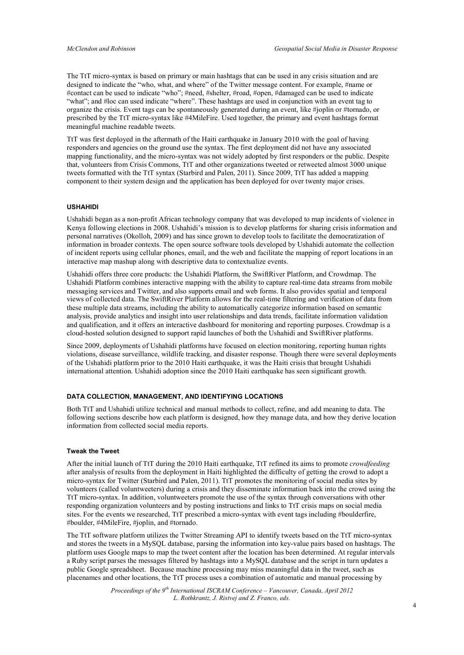The TtT micro-syntax is based on primary or main hashtags that can be used in any crisis situation and are designed to indicate the "who, what, and where" of the Twitter message content. For example, #name or #contact can be used to indicate "who"; #need, #shelter, #road, #open, #damaged can be used to indicate "what"; and #loc can used indicate "where". These hashtags are used in conjunction with an event tag to organize the crisis. Event tags can be spontaneously generated during an event, like #joplin or #tornado, or prescribed by the TtT micro-syntax like #4MileFire. Used together, the primary and event hashtags format meaningful machine readable tweets.

TtT was first deployed in the aftermath of the Haiti earthquake in January 2010 with the goal of having responders and agencies on the ground use the syntax. The first deployment did not have any associated mapping functionality, and the micro-syntax was not widely adopted by first responders or the public. Despite that, volunteers from Crisis Commons, TtT and other organizations tweeted or retweeted almost 3000 unique tweets formatted with the TtT syntax (Starbird and Palen, 2011). Since 2009, TtT has added a mapping component to their system design and the application has been deployed for over twenty major crises.

### **USHAHIDI**

Ushahidi began as a non-profit African technology company that was developed to map incidents of violence in Kenya following elections in 2008. Ushahidi's mission is to develop platforms for sharing crisis information and personal narratives (Okolloh, 2009) and has since grown to develop tools to facilitate the democratization of information in broader contexts. The open source software tools developed by Ushahidi automate the collection of incident reports using cellular phones, email, and the web and facilitate the mapping of report locations in an interactive map mashup along with descriptive data to contextualize events.

Ushahidi offers three core products: the Ushahidi Platform, the SwiftRiver Platform, and Crowdmap. The Ushahidi Platform combines interactive mapping with the ability to capture real-time data streams from mobile messaging services and Twitter, and also supports email and web forms. It also provides spatial and temporal views of collected data. The SwiftRiver Platform allows for the real-time filtering and verification of data from these multiple data streams, including the ability to automatically categorize information based on semantic analysis, provide analytics and insight into user relationships and data trends, facilitate information validation and qualification, and it offers an interactive dashboard for monitoring and reporting purposes. Crowdmap is a cloud-hosted solution designed to support rapid launches of both the Ushahidi and SwiftRiver platforms.

Since 2009, deployments of Ushahidi platforms have focused on election monitoring, reporting human rights violations, disease surveillance, wildlife tracking, and disaster response. Though there were several deployments of the Ushahidi platform prior to the 2010 Haiti earthquake, it was the Haiti crisis that brought Ushahidi international attention. Ushahidi adoption since the 2010 Haiti earthquake has seen significant growth.

## **DATA COLLECTION, MANAGEMENT, AND IDENTIFYING LOCATIONS**

Both TtT and Ushahidi utilize technical and manual methods to collect, refine, and add meaning to data. The following sections describe how each platform is designed, how they manage data, and how they derive location information from collected social media reports.

#### **Tweak the Tweet**

After the initial launch of TtT during the 2010 Haiti earthquake, TtT refined its aims to promote *crowdfeeding* after analysis of results from the deployment in Haiti highlighted the difficulty of getting the crowd to adopt a micro-syntax for Twitter (Starbird and Palen, 2011). TtT promotes the monitoring of social media sites by volunteers (called voluntweeters) during a crisis and they disseminate information back into the crowd using the TtT micro-syntax. In addition, voluntweeters promote the use of the syntax through conversations with other responding organization volunteers and by posting instructions and links to TtT crisis maps on social media sites. For the events we researched, TtT prescribed a micro-syntax with event tags including #boulderfire, #boulder, #4MileFire, #joplin, and #tornado.

The TtT software platform utilizes the Twitter Streaming API to identify tweets based on the TtT micro-syntax and stores the tweets in a MySQL database, parsing the information into key-value pairs based on hashtags. The platform uses Google maps to map the tweet content after the location has been determined. At regular intervals a Ruby script parses the messages filtered by hashtags into a MySQL database and the script in turn updates a public Google spreadsheet. Because machine processing may miss meaningful data in the tweet, such as placenames and other locations, the TtT process uses a combination of automatic and manual processing by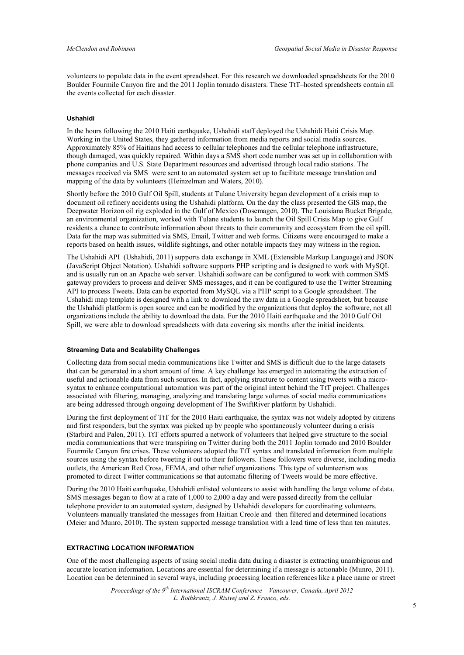volunteers to populate data in the event spreadsheet. For this research we downloaded spreadsheets for the 2010 Boulder Fourmile Canyon fire and the 2011 Joplin tornado disasters. These TtT–hosted spreadsheets contain all the events collected for each disaster.

#### **Ushahidi**

In the hours following the 2010 Haiti earthquake, Ushahidi staff deployed the Ushahidi Haiti Crisis Map. Working in the United States, they gathered information from media reports and social media sources. Approximately 85% of Haitians had access to cellular telephones and the cellular telephone infrastructure, though damaged, was quickly repaired. Within days a SMS short code number was set up in collaboration with phone companies and U.S. State Department resources and advertised through local radio stations. The messages received via SMS were sent to an automated system set up to facilitate message translation and mapping of the data by volunteers (Heinzelman and Waters, 2010).

Shortly before the 2010 Gulf Oil Spill, students at Tulane University began development of a crisis map to document oil refinery accidents using the Ushahidi platform. On the day the class presented the GIS map, the Deepwater Horizon oil rig exploded in the Gulf of Mexico (Dosemagen, 2010). The Louisiana Bucket Brigade, an environmental organization, worked with Tulane students to launch the Oil Spill Crisis Map to give Gulf residents a chance to contribute information about threats to their community and ecosystem from the oil spill. Data for the map was submitted via SMS, Email, Twitter and web forms. Citizens were encouraged to make a reports based on health issues, wildlife sightings, and other notable impacts they may witness in the region.

The Ushahidi API (Ushahidi, 2011) supports data exchange in XML (Extensible Markup Language) and JSON (JavaScript Object Notation). Ushahidi software supports PHP scripting and is designed to work with MySQL and is usually run on an Apache web server. Ushahidi software can be configured to work with common SMS gateway providers to process and deliver SMS messages, and it can be configured to use the Twitter Streaming API to process Tweets. Data can be exported from MySQL via a PHP script to a Google spreadsheet. The Ushahidi map template is designed with a link to download the raw data in a Google spreadsheet, but because the Ushahidi platform is open source and can be modified by the organizations that deploy the software, not all organizations include the ability to download the data. For the 2010 Haiti earthquake and the 2010 Gulf Oil Spill, we were able to download spreadsheets with data covering six months after the initial incidents.

#### **Streaming Data and Scalability Challenges**

Collecting data from social media communications like Twitter and SMS is difficult due to the large datasets that can be generated in a short amount of time. A key challenge has emerged in automating the extraction of useful and actionable data from such sources. In fact, applying structure to content using tweets with a microsyntax to enhance computational automation was part of the original intent behind the TtT project. Challenges associated with filtering, managing, analyzing and translating large volumes of social media communications are being addressed through ongoing development of The SwiftRiver platform by Ushahidi.

During the first deployment of TtT for the 2010 Haiti earthquake, the syntax was not widely adopted by citizens and first responders, but the syntax was picked up by people who spontaneously volunteer during a crisis (Starbird and Palen, 2011). TtT efforts spurred a network of volunteers that helped give structure to the social media communications that were transpiring on Twitter during both the 2011 Joplin tornado and 2010 Boulder Fourmile Canyon fire crises. These volunteers adopted the TtT syntax and translated information from multiple sources using the syntax before tweeting it out to their followers. These followers were diverse, including media outlets, the American Red Cross, FEMA, and other relief organizations. This type of volunteerism was promoted to direct Twitter communications so that automatic filtering of Tweets would be more effective.

During the 2010 Haiti earthquake, Ushahidi enlisted volunteers to assist with handling the large volume of data. SMS messages began to flow at a rate of 1,000 to 2,000 a day and were passed directly from the cellular telephone provider to an automated system, designed by Ushahidi developers for coordinating volunteers. Volunteers manually translated the messages from Haitian Creole and then filtered and determined locations (Meier and Munro, 2010). The system supported message translation with a lead time of less than ten minutes.

#### **EXTRACTING LOCATION INFORMATION**

One of the most challenging aspects of using social media data during a disaster is extracting unambiguous and accurate location information. Locations are essential for determining if a message is actionable (Munro, 2011). Location can be determined in several ways, including processing location references like a place name or street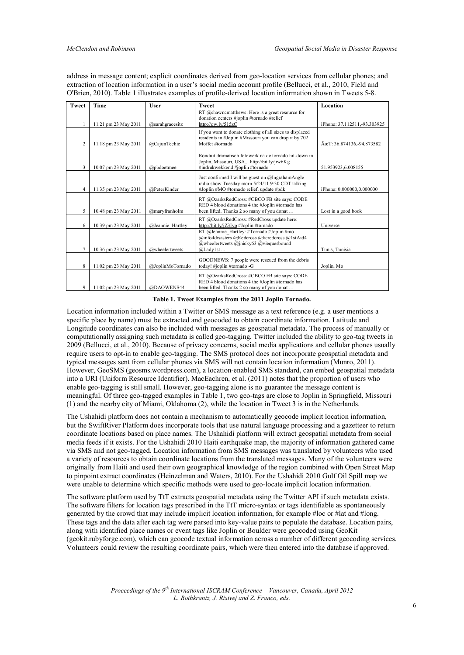address in message content; explicit coordinates derived from geo-location services from cellular phones; and extraction of location information in a user's social media account profile (Bellucci, et al., 2010, Field and O'Brien, 2010). Table 1 illustrates examples of profile-derived location information shown in Tweets 5-8.

| Tweet | Time                 | <b>User</b>        | Tweet                                                                                                                                             | Location                     |
|-------|----------------------|--------------------|---------------------------------------------------------------------------------------------------------------------------------------------------|------------------------------|
|       | 11.21 pm 23 May 2011 | $@$ sarahgracesitz | RT $@$ shawncmatthews: Here is a great resource for<br>donation centers #joplin #tornado #relief<br>http://ow.ly/515zC                            | iPhone: 37.112511,-93.303925 |
| 2     | 11.18 pm 23 May 2011 | @CajunTechie       | If you want to donate clothing of all sizes to displaced<br>residents in #Joplin #Missouri you can drop it by 702<br>Moffet #tornado              | ÜT: 36.874136,-94.873582     |
| 3     | 10.07 pm 23 May 2011 | @pbdoetmee         | Ronduit dramatisch fotowerk na de tornado hit-down in<br>Joplin, Missouri, USA http://bit.ly/jiw6Kg<br>#indrukwekkend #joplin #tornado            | 51.953923,6.008155           |
| 4     | 11.35 pm 23 May 2011 | @PeterKinder       | Just confirmed I will be guest on @IngrahamAngle<br>radio show Tuesday morn 5/24/11 9:30 CDT talking<br>#Joplin #MO #tornado relief, update #pdk  | iPhone: 0.000000.0.000000    |
| 5     | 10.48 pm 23 May 2011 | @maryfranholm      | RT @OzarksRedCross: #CBCO FB site says: CODE<br>RED 4 blood donations 4 the #Joplin #tornado has<br>been lifted. Thanks 2 so many of you donat    | Lost in a good book          |
| 6     | 10.39 pm 23 May 2011 | @Jeannie Hartley   | RT @OzarksRedCross: #RedCross update here:<br>http://bit.ly/jZ3Ivp #Joplin #tornado                                                               | Universe                     |
| 7     | 10.36 pm 23 May 2011 | @wheelertweets     | RT @Jeannie Hartley: #Tornado #Joplin #mo<br>@info4disasters @Redcross @kcredcross @1stAid4<br>@wheelertweets @jnicky63 @viequesbound<br>@Lady1st | Tunis, Tunisia               |
| 8     | 11.02 pm 23 May 2011 | @JoplinMoTornado   | GOODNEWS: 7 people were rescued from the debris<br>today! #joplin #tornado -G                                                                     | Joplin, Mo                   |
| 9     | 11.02 pm 23 May 2011 | @DAOWENS44         | RT @OzarksRedCross: #CBCO FB site says: CODE<br>RED 4 blood donations 4 the #Joplin #tornado has<br>been lifted. Thanks 2 so many of you donat    |                              |

**Table 1. Tweet Examples from the 2011 Joplin Tornado.** 

Location information included within a Twitter or SMS message as a text reference (e.g. a user mentions a specific place by name) must be extracted and geocoded to obtain coordinate information. Latitude and Longitude coordinates can also be included with messages as geospatial metadata. The process of manually or computationally assigning such metadata is called geo-tagging. Twitter included the ability to geo-tag tweets in 2009 (Bellucci, et al., 2010). Because of privacy concerns, social media applications and cellular phones usually require users to opt-in to enable geo-tagging. The SMS protocol does not incorporate geospatial metadata and typical messages sent from cellular phones via SMS will not contain location information (Munro, 2011). However, GeoSMS (geosms.wordpress.com), a location-enabled SMS standard, can embed geospatial metadata into a URI (Uniform Resource Identifier). MacEachren, et al. (2011) notes that the proportion of users who enable geo-tagging is still small. However, geo-tagging alone is no guarantee the message content is meaningful. Of three geo-tagged examples in Table 1, two geo-tags are close to Joplin in Springfield, Missouri (1) and the nearby city of Miami, Oklahoma (2), while the location in Tweet 3 is in the Netherlands.

The Ushahidi platform does not contain a mechanism to automatically geocode implicit location information, but the SwiftRiver Platform does incorporate tools that use natural language processing and a gazetteer to return coordinate locations based on place names. The Ushahidi platform will extract geospatial metadata from social media feeds if it exists. For the Ushahidi 2010 Haiti earthquake map, the majority of information gathered came via SMS and not geo-tagged. Location information from SMS messages was translated by volunteers who used a variety of resources to obtain coordinate locations from the translated messages. Many of the volunteers were originally from Haiti and used their own geographical knowledge of the region combined with Open Street Map to pinpoint extract coordinates (Heinzelman and Waters, 2010). For the Ushahidi 2010 Gulf Oil Spill map we were unable to determine which specific methods were used to geo-locate implicit location information.

The software platform used by TtT extracts geospatial metadata using the Twitter API if such metadata exists. The software filters for location tags prescribed in the TtT micro-syntax or tags identifiable as spontaneously generated by the crowd that may include implicit location information, for example #loc or #lat and #long. These tags and the data after each tag were parsed into key-value pairs to populate the database. Location pairs, along with identified place names or event tags like Joplin or Boulder were geocoded using GeoKit (geokit.rubyforge.com), which can geocode textual information across a number of different geocoding services. Volunteers could review the resulting coordinate pairs, which were then entered into the database if approved.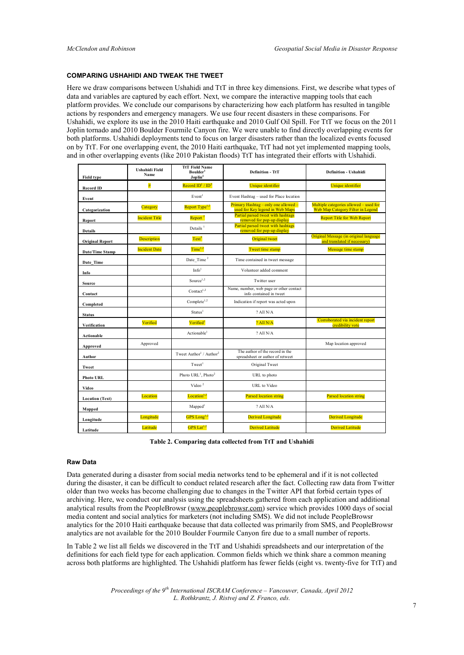#### **COMPARING USHAHIDI AND TWEAK THE TWEET**

Here we draw comparisons between Ushahidi and TtT in three key dimensions. First, we describe what types of data and variables are captured by each effort. Next, we compare the interactive mapping tools that each platform provides. We conclude our comparisons by characterizing how each platform has resulted in tangible actions by responders and emergency managers. We use four recent disasters in these comparisons. For Ushahidi, we explore its use in the 2010 Haiti earthquake and 2010 Gulf Oil Spill. For TtT we focus on the 2011 Joplin tornado and 2010 Boulder Fourmile Canyon fire. We were unable to find directly overlapping events for both platforms. Ushahidi deployments tend to focus on larger disasters rather than the localized events focused on by TtT. For one overlapping event, the 2010 Haiti earthquake, TtT had not yet implemented mapping tools, and in other overlapping events (like 2010 Pakistan floods) TtT has integrated their efforts with Ushahidi.

|                        | Ushahidi Field                      | <b>TtT Field Name</b>                           |                                                                         | <b>Definition - Ushahidi</b>                                                |  |  |
|------------------------|-------------------------------------|-------------------------------------------------|-------------------------------------------------------------------------|-----------------------------------------------------------------------------|--|--|
| <b>Field type</b>      | Name                                | Boulder <sup>1</sup><br>$J$ op $\text{lin}^2$   | <b>Definition - TtT</b>                                                 |                                                                             |  |  |
| #<br><b>Record ID</b>  |                                     | Record $ID^1 / ID^2$                            | Unique identifier                                                       | Unique identifier                                                           |  |  |
| Event                  |                                     | Event <sup>1</sup>                              | Event Hashtag - used for Place location                                 |                                                                             |  |  |
| Categorization         | Category                            |                                                 | Primary Hashtag – only one allowed –<br>used for Key legend in Web Maps | Multiple categories allowed – used for<br>Web Map Category Filter in Legend |  |  |
| Report                 | <b>Incident Title</b>               |                                                 | Partial parsed tweet with hashtags<br>removed for pop-up display        | <b>Report Title for Web Report</b>                                          |  |  |
| <b>Details</b>         |                                     | Details $1$                                     | Partial parsed tweet with hashtags<br>removed for pop-up display        |                                                                             |  |  |
| <b>Original Report</b> | <b>Description</b>                  | Text <sup>2</sup>                               | Original tweet                                                          | Original Message (in original language<br>and translated if necessary)      |  |  |
| <b>Date/Time Stamp</b> | <b>Incident Date</b>                | Time <sup>1,2</sup>                             | Tweet time stamp                                                        | Message time stamp                                                          |  |  |
| Date Time              |                                     | Date_Time <sup>2</sup>                          | Time contained in tweet message                                         |                                                                             |  |  |
| Info                   |                                     | $\mathrm{Info}^1$                               | Volunteer added comment                                                 |                                                                             |  |  |
| Source                 |                                     | Source $1,2$                                    | Twitter user                                                            |                                                                             |  |  |
| Contact                |                                     | Contact <sup>1,2</sup>                          | Name, number, web page or other contact<br>info contained in tweet      |                                                                             |  |  |
| Completed              |                                     | Complete <sup>1,2</sup>                         | Indication if report was acted upon                                     |                                                                             |  |  |
| <b>Status</b>          |                                     | Status <sup>1</sup>                             | $?$ All $N/A$                                                           |                                                                             |  |  |
| Verification           | Verified                            | Verified <sup>1</sup>                           | $?$ All $N/A$                                                           | Corroborated via incident report<br>credibility vote                        |  |  |
| <b>Actionable</b>      |                                     | Actionable <sup>1</sup>                         | ? All N/A                                                               |                                                                             |  |  |
| Approved               | Approved                            |                                                 |                                                                         | Map location approved                                                       |  |  |
| Author                 |                                     | Tweet Author <sup>1</sup> / Author <sup>2</sup> | The author of the record in the<br>spreadsheet or author of retweet     |                                                                             |  |  |
| Tweet                  |                                     | Tweet <sup>1</sup>                              | Original Tweet                                                          |                                                                             |  |  |
| <b>Photo URL</b>       |                                     | Photo URL <sup>1</sup> , Photo <sup>2</sup>     | URL to photo                                                            |                                                                             |  |  |
| Video                  |                                     | Video $2$                                       | URL to Video                                                            |                                                                             |  |  |
| <b>Location</b> (Text) | Location <sup>1,2</sup><br>Location |                                                 | <b>Parsed location string</b>                                           | <b>Parsed location string</b>                                               |  |  |
| Mapped                 |                                     | Mapped <sup>1</sup>                             | ? All N/A                                                               |                                                                             |  |  |
| Longitude<br>Longitude |                                     | $GPS$ Long <sup>1,2</sup>                       | <b>Derived Longitude</b>                                                | <b>Derived Longitude</b>                                                    |  |  |
| Latitude               | Latitude                            | GPS Lat $^{1,2}$                                | <b>Derived Latitude</b>                                                 | <b>Derived Latitude</b>                                                     |  |  |

**Table 2. Comparing data collected from TtT and Ushahidi** 

#### **Raw Data**

Data generated during a disaster from social media networks tend to be ephemeral and if it is not collected during the disaster, it can be difficult to conduct related research after the fact. Collecting raw data from Twitter older than two weeks has become challenging due to changes in the Twitter API that forbid certain types of archiving. Here, we conduct our analysis using the spreadsheets gathered from each application and additional analytical results from the PeopleBrowsr ([www.peoplebrowsr.com\)](http://www.peoplebrowsr.com) service which provides 1000 days of social media content and social analytics for marketers (not including SMS). We did not include PeopleBrowsr analytics for the 2010 Haiti earthquake because that data collected was primarily from SMS, and PeopleBrowsr analytics are not available for the 2010 Boulder Fourmile Canyon fire due to a small number of reports.

In Table 2 we list all fields we discovered in the TtT and Ushahidi spreadsheets and our interpretation of the definitions for each field type for each application. Common fields which we think share a common meaning across both platforms are highlighted. The Ushahidi platform has fewer fields (eight vs. twenty-five for TtT) and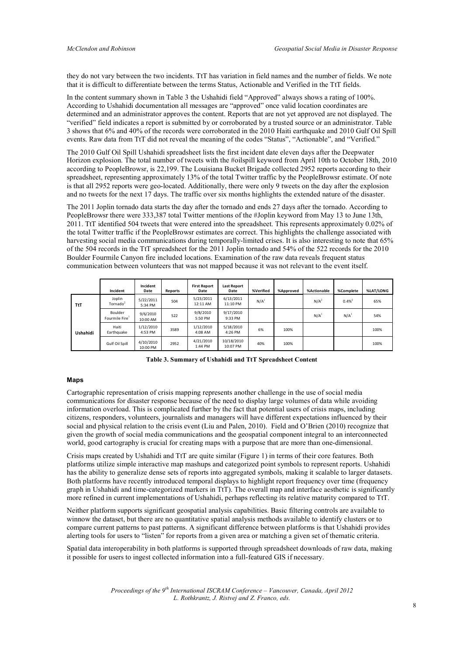they do not vary between the two incidents. TtT has variation in field names and the number of fields. We note that it is difficult to differentiate between the terms Status, Actionable and Verified in the TtT fields.

In the content summary shown in Table 3 the Ushahidi field "Approved" always shows a rating of 100%. According to Ushahidi documentation all messages are "approved" once valid location coordinates are determined and an administrator approves the content. Reports that are not yet approved are not displayed. The "verified" field indicates a report is submitted by or corroborated by a trusted source or an administrator. Table 3 shows that 6% and 40% of the records were corroborated in the 2010 Haiti earthquake and 2010 Gulf Oil Spill events. Raw data from TtT did not reveal the meaning of the codes "Status", "Actionable", and "Verified."

The 2010 Gulf Oil Spill Ushahidi spreadsheet lists the first incident date eleven days after the Deepwater Horizon explosion. The total number of tweets with the #oilspill keyword from April 10th to October 18th, 2010 according to PeopleBrowsr, is 22,199. The Louisiana Bucket Brigade collected 2952 reports according to their spreadsheet, representing approximately 13% of the total Twitter traffic by the PeopleBrowsr estimate. Of note is that all 2952 reports were geo-located. Additionally, there were only 9 tweets on the day after the explosion and no tweets for the next 17 days. The traffic over six months highlights the extended nature of the disaster.

The 2011 Joplin tornado data starts the day after the tornado and ends 27 days after the tornado. According to PeopleBrowsr there were 333,387 total Twitter mentions of the #Joplin keyword from May 13 to June 13th, 2011. TtT identified 504 tweets that were entered into the spreadsheet. This represents approximately 0.02% of the total Twitter traffic if the PeopleBrowsr estimates are correct. This highlights the challenge associated with harvesting social media communications during temporally-limited crises. It is also interesting to note that 65% of the 504 records in the TtT spreadsheet for the 2011 Joplin tornado and 54% of the 522 records for the 2010 Boulder Fourmile Canyon fire included locations. Examination of the raw data reveals frequent status communication between volunteers that was not mapped because it was not relevant to the event itself.

|          | Incident                 | Incident<br>Date      | <b>Reports</b> | <b>First Report</b><br>Date | <b>Last Report</b><br>Date | %Verified        | %Approved | %Actionable      | %Complete  | %LAT/LONG |
|----------|--------------------------|-----------------------|----------------|-----------------------------|----------------------------|------------------|-----------|------------------|------------|-----------|
| TtT      | Joplin<br>Tornado $2$    | 5/22/2011<br>5:34 PM  | 504            | 5/23/2011<br>12:11 AM       | 6/13/2011<br>11:10 PM      | N/A <sup>1</sup> |           | N/A <sup>2</sup> | $0.4%^{2}$ | 65%       |
|          | Boulder<br>Fourmile Fire | 9/6/2010<br>10:00 AM  | 522            | 9/8/2010<br>5:50 PM         | 9/17/2010<br>9:33 PM       |                  |           | N/A              | N/A        | 54%       |
| Ushahidi | Haiti<br>Earthquake      | 1/12/2010<br>4:53 PM  | 3589           | 1/12/2010<br>4:08 AM        | 5/18/2010<br>4:26 PM       | 6%               | 100%      |                  |            | 100%      |
|          | Gulf Oil Spill           | 4/10/2010<br>10:00 PM | 2952           | 4/21/2010<br>1:44 PM        | 10/18/2010<br>10:07 PM     | 40%              | 100%      |                  |            | 100%      |

**Table 3. Summary of Ushahidi and TtT Spreadsheet Content** 

#### **Maps**

Cartographic representation of crisis mapping represents another challenge in the use of social media communications for disaster response because of the need to display large volumes of data while avoiding information overload. This is complicated further by the fact that potential users of crisis maps, including citizens, responders, volunteers, journalists and managers will have different expectations influenced by their social and physical relation to the crisis event (Liu and Palen, 2010). Field and O'Brien (2010) recognize that given the growth of social media communications and the geospatial component integral to an interconnected world, good cartography is crucial for creating maps with a purpose that are more than one-dimensional.

Crisis maps created by Ushahidi and TtT are quite similar (Figure 1) in terms of their core features. Both platforms utilize simple interactive map mashups and categorized point symbols to represent reports. Ushahidi has the ability to generalize dense sets of reports into aggregated symbols, making it scalable to larger datasets. Both platforms have recently introduced temporal displays to highlight report frequency over time (frequency graph in Ushahidi and time-categorized markers in TtT). The overall map and interface aesthetic is significantly more refined in current implementations of Ushahidi, perhaps reflecting its relative maturity compared to TtT.

Neither platform supports significant geospatial analysis capabilities. Basic filtering controls are available to winnow the dataset, but there are no quantitative spatial analysis methods available to identify clusters or to compare current patterns to past patterns. A significant difference between platforms is that Ushahidi provides alerting tools for users to "listen" for reports from a given area or matching a given set of thematic criteria.

Spatial data interoperability in both platforms is supported through spreadsheet downloads of raw data, making it possible for users to ingest collected information into a full-featured GIS if necessary.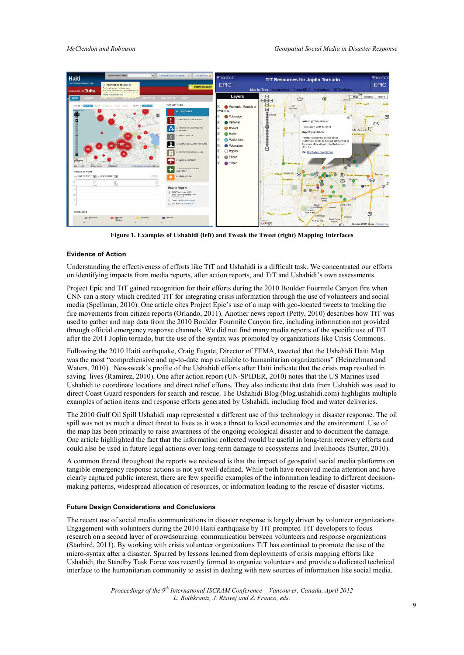

**Figure 1. Examples of Ushahidi (left) and Tweak the Tweet (right) Mapping Interfaces** 

#### **Evidence of Action**

Understanding the effectiveness of efforts like TtT and Ushahidi is a difficult task. We concentrated our efforts on identifying impacts from media reports, after action reports, and TtT and Ushahidi's own assessments.

Project Epic and TtT gained recognition for their efforts during the 2010 Boulder Fourmile Canyon fire when CNN ran a story which credited TtT for integrating crisis information through the use of volunteers and social media (Spellman, 2010). One article cites Project Epic's use of a map with geo-located tweets to tracking the fire movements from citizen reports (Orlando, 2011). Another news report (Petty, 2010) describes how TtT was used to gather and map data from the 2010 Boulder Fourmile Canyon fire, including information not provided through official emergency response channels. We did not find many media reports of the specific use of TtT after the 2011 Joplin tornado, but the use of the syntax was promoted by organizations like Crisis Commons.

Following the 2010 Haiti earthquake, Craig Fugate, Director of FEMA, tweeted that the Ushahidi Haiti Map was the most "comprehensive and up-to-date map available to humanitarian organizations" (Heinzelman and Waters, 2010). Newsweek's profile of the Ushahidi efforts after Haiti indicate that the crisis map resulted in saving lives (Ramirez, 2010). One after action report (UN-SPIDER, 2010) notes that the US Marines used Ushahidi to coordinate locations and direct relief efforts. They also indicate that data from Ushahidi was used to direct Coast Guard responders for search and rescue. The Ushahidi Blog (blog.ushahidi.com) highlights multiple examples of action items and response efforts generated by Ushahidi, including food and water deliveries.

The 2010 Gulf Oil Spill Ushahidi map represented a different use of this technology in disaster response. The oil spill was not as much a direct threat to lives as it was a threat to local economies and the environment. Use of the map has been primarily to raise awareness of the ongoing ecological disaster and to document the damage. One article highlighted the fact that the information collected would be useful in long-term recovery efforts and could also be used in future legal actions over long-term damage to ecosystems and livelihoods (Sutter, 2010).

A common thread throughout the reports we reviewed is that the impact of geospatial social media platforms on tangible emergency response actions is not yet well-defined. While both have received media attention and have clearly captured public interest, there are few specific examples of the information leading to different decisionmaking patterns, widespread allocation of resources, or information leading to the rescue of disaster victims.

#### **Future Design Considerations and Conclusions**

The recent use of social media communications in disaster response is largely driven by volunteer organizations. Engagement with volunteers during the 2010 Haiti earthquake by TtT prompted TtT developers to focus research on a second layer of crowdsourcing: communication between volunteers and response organizations (Starbird, 2011). By working with crisis volunteer organizations TtT has continued to promote the use of the micro-syntax after a disaster. Spurred by lessons learned from deployments of crisis mapping efforts like Ushahidi, the Standby Task Force was recently formed to organize volunteers and provide a dedicated technical interface to the humanitarian community to assist in dealing with new sources of information like social media.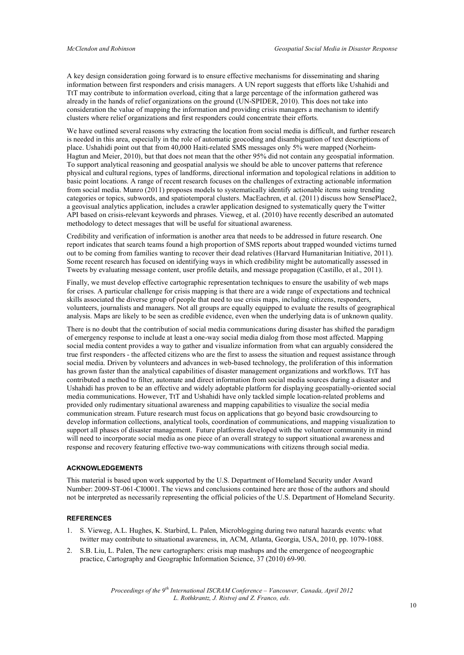A key design consideration going forward is to ensure effective mechanisms for disseminating and sharing information between first responders and crisis managers. A UN report suggests that efforts like Ushahidi and TtT may contribute to information overload, citing that a large percentage of the information gathered was already in the hands of relief organizations on the ground (UN-SPIDER, 2010). This does not take into consideration the value of mapping the information and providing crisis managers a mechanism to identify clusters where relief organizations and first responders could concentrate their efforts.

We have outlined several reasons why extracting the location from social media is difficult, and further research is needed in this area, especially in the role of automatic geocoding and disambiguation of text descriptions of place. Ushahidi point out that from 40,000 Haiti-related SMS messages only 5% were mapped (Norheim-Hagtun and Meier, 2010), but that does not mean that the other 95% did not contain any geospatial information. To support analytical reasoning and geospatial analysis we should be able to uncover patterns that reference physical and cultural regions, types of landforms, directional information and topological relations in addition to basic point locations. A range of recent research focuses on the challenges of extracting actionable information from social media. Munro (2011) proposes models to systematically identify actionable items using trending categories or topics, subwords, and spatiotemporal clusters. MacEachren, et al. (2011) discuss how SensePlace2, a geovisual analytics application, includes a crawler application designed to systematically query the Twitter API based on crisis-relevant keywords and phrases. Vieweg, et al. (2010) have recently described an automated methodology to detect messages that will be useful for situational awareness.

Credibility and verification of information is another area that needs to be addressed in future research. One report indicates that search teams found a high proportion of SMS reports about trapped wounded victims turned out to be coming from families wanting to recover their dead relatives (Harvard Humanitarian Initiative, 2011). Some recent research has focused on identifying ways in which credibility might be automatically assessed in Tweets by evaluating message content, user profile details, and message propagation (Castillo, et al., 2011).

Finally, we must develop effective cartographic representation techniques to ensure the usability of web maps for crises. A particular challenge for crisis mapping is that there are a wide range of expectations and technical skills associated the diverse group of people that need to use crisis maps, including citizens, responders, volunteers, journalists and managers. Not all groups are equally equipped to evaluate the results of geographical analysis. Maps are likely to be seen as credible evidence, even when the underlying data is of unknown quality.

There is no doubt that the contribution of social media communications during disaster has shifted the paradigm of emergency response to include at least a one-way social media dialog from those most affected. Mapping social media content provides a way to gather and visualize information from what can arguably considered the true first responders - the affected citizens who are the first to assess the situation and request assistance through social media. Driven by volunteers and advances in web-based technology, the proliferation of this information has grown faster than the analytical capabilities of disaster management organizations and workflows. TtT has contributed a method to filter, automate and direct information from social media sources during a disaster and Ushahidi has proven to be an effective and widely adoptable platform for displaying geospatially-oriented social media communications. However, TtT and Ushahidi have only tackled simple location-related problems and provided only rudimentary situational awareness and mapping capabilities to visualize the social media communication stream. Future research must focus on applications that go beyond basic crowdsourcing to develop information collections, analytical tools, coordination of communications, and mapping visualization to support all phases of disaster management. Future platforms developed with the volunteer community in mind will need to incorporate social media as one piece of an overall strategy to support situational awareness and response and recovery featuring effective two-way communications with citizens through social media.

## **ACKNOWLEDGEMENTS**

This material is based upon work supported by the U.S. Department of Homeland Security under Award Number: 2009-ST-061-CI0001. The views and conclusions contained here are those of the authors and should not be interpreted as necessarily representing the official policies of the U.S. Department of Homeland Security.

# **REFERENCES**

- 1. S. Vieweg, A.L. Hughes, K. Starbird, L. Palen, Microblogging during two natural hazards events: what twitter may contribute to situational awareness, in, ACM, Atlanta, Georgia, USA, 2010, pp. 1079-1088.
- 2. S.B. Liu, L. Palen, The new cartographers: crisis map mashups and the emergence of neogeographic practice, Cartography and Geographic Information Science, 37 (2010) 69-90.